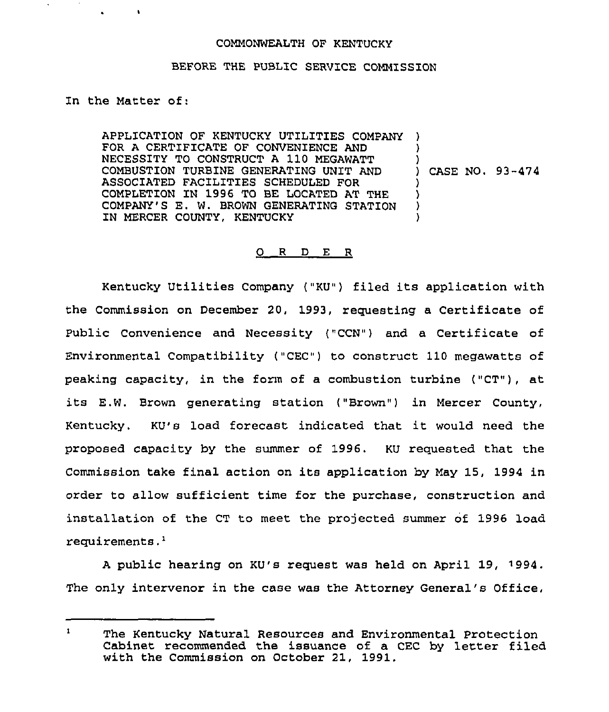#### COMMONWEALTH OF KENTUCKY

# BEFORE THE PUBLIC SERVICE COMMISSION

Zn the Matter of:

APPLICATION OF KENTUCKY UTILITIES COMPANY ) FOR A CERTIFICATE OF CONVENIENCE AND NECESSITY TO CONSTRUCT <sup>A</sup> 110 MEGAWATT COMBUSTION TURBINE GENERATING UNIT AND ASSOCIATED FACILITIES SCHEDULED FOR COMPLETION ZN 1996 TO BE LOCATED AT THE COMPANY'S E. W. BROWN GENERATING STATION IN MERCER COUNTY, KENTUCKY ) ) ) CASE NO. 93-474 ) ) ) )

# 0 R <sup>D</sup> E <sup>R</sup>

Kentucky Utilities Company ("KU") filed its application with the Commission on December 20, 1993, requesting a Certificate of Public Convenience and Necessity ("CCN") and a Certificate of Environmental Compatibility ("CEC") to construct 110 megawatts of peaking capacity, in the form of a combustion turbine ("CT"), at its E.W. Brown generating station ("Brown") in Mercer County, Kentucky. KU's load forecast indicated that it would need the proposed capacity by the summer of 1996. KU requested that the Commission take final action on its application by May 15, 1994 in order to allow sufficient time for the purchase, construction and installation of the CT to meet the projected summer of 1996 load requirements.'

A public hearing on KU's request was held on April 19, 1994. The only intervenor in the case was the Attorney General's Office,

 $\mathbf{1}$ The Kentucky Natural Resources and Environmental Protection Cabinet recommended the issuance of a CEC by letter filed with the Commission on October 21, 1991.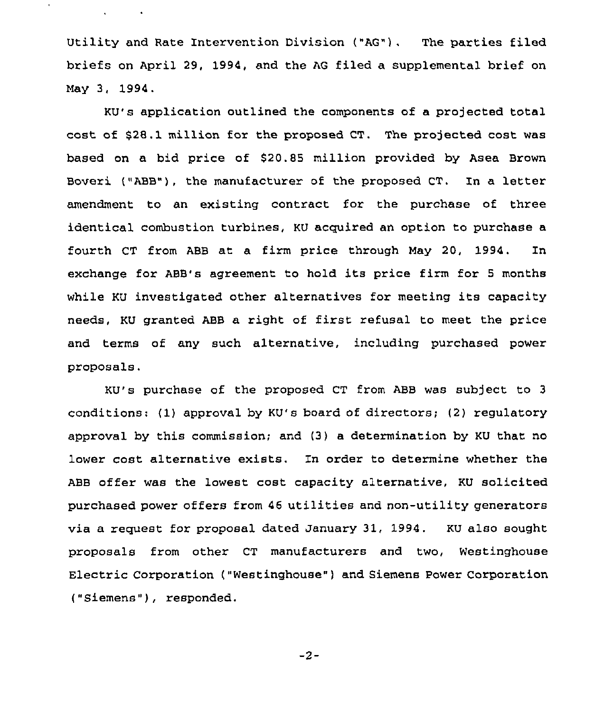Utility and Rate Intervention Division ("AG"). The parties filed briefs on April 29, 1994, and the AG filed a supplemental brief on May 3, 1994.

 $\mathbf{v}$ 

KU's application outlined the components of a projected total cost of \$28.1 million for the proposed CT. The projected cost was based on a bid price of 920.89 million provided by Asea Brown Boveri ("ABB"), the manufacturer of the proposed CT. In a letter amendment to an existing contract for the purchase of three identical combustion turbines, KU acquired an option to purchase a fourth CT from ABB at a firm price through May 20, 1994. In exchange for ABB's agreement to hold its price firm for <sup>5</sup> months while KU investigated other alternatives for meeting its capacity needs, KU granted ABB a right of first refusal to meet the price and terms of any such alternative, including purchased power proposals,

KU's purchase of the proposed CT from ABB was subject to <sup>3</sup> conditions: (1) approval by KU's board of directors; (2) regulatory approval by this commission; and (3) a determination by KU that no lower cost alternative exists. In order to determine whether the ABB offer was the lowest cost capacity alternative, KU solicited purchased power offers from 46 utilities and non-utility generators via a request for proposal dated january 31, 1994. KU also sought proposals from other CT manufacturers and two, Westinghouse Electric Corporation ("Westinghouse" ) and Siemens Power Corporation ("Siemens" ), responded.

 $-2-$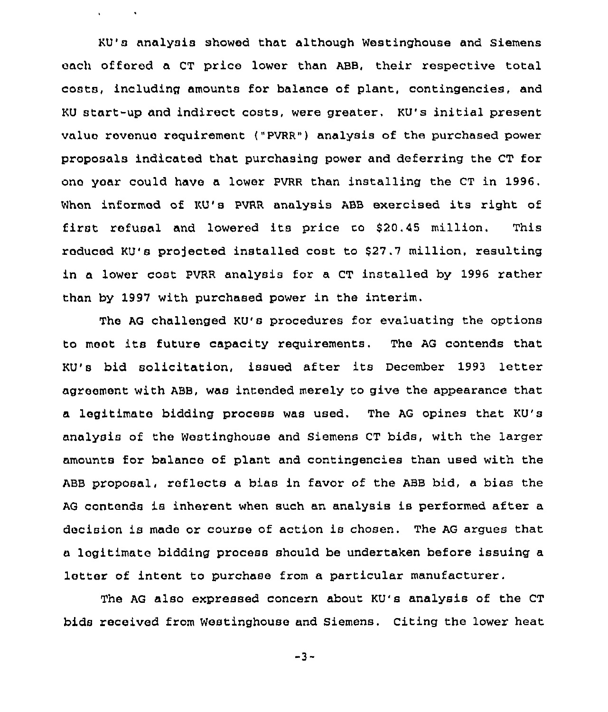KU's analysis showed that although Westinghouse and siemens each offered a CT price lower than ABB, their respective total costs, including amounts for balance of plant, contingencies, and KU start-up and indirect costs, were greater. KU's initial present value rovenuo requirement ("PVRR") analysis of the purchased power proposals indicated that purchasing power and deferring the CT for ono year could have a lower PVRR than installing the CT in 1996. When informed of KU's PVRR analysis ABB exercised its right of first refusal and lowered its price to  $$20.45$  million. This reduced KU's projected installed cost to \$27,7 million, resulting in a lower cost PVRR analysis for a CT installed by 1996 rather than by 1997 with purchased power in the interim.

 $\mathbf{v} = \mathbf{v} \times \mathbf{v}$  .  $\mathbf{v} = \mathbf{v}$ 

The AG challenged KU's procedures for evaluating the options to moot its futuro capacity requirements, The AG contends that KU's bid solicitation, issued after its December 1993 letter agreement with ABB, was intended merely to give the appearance that a legitimate bidding process was used. The AG opines that KU's analysis of the Westinghouse and Siemens CT bids, with the larger amounts for balanco of plant and contingencies than used with the ABB proposal, reflects a bias in favor of the ABB bid. a bias the AG contends is inherent when such an analysis is performed after a decision is made or course of action is chosen. The AG argues that a logitimate bidding process should be undertaken before issuing a lotter of intent to purchase from a particular manufacturer.

The AG also expressed concern about KU's analysis of the CT bids received from Westinghouse and Siemens. Citing the lower heat

-3-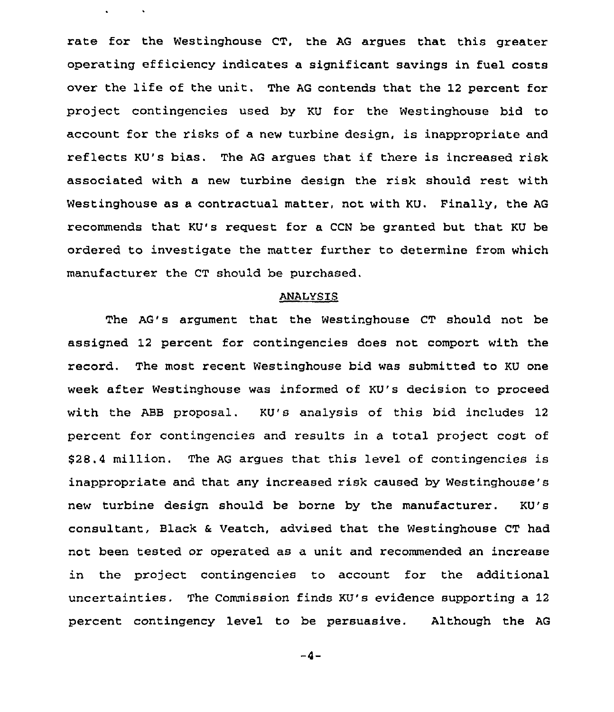rate for the Westinghouse CT, the AG argues that this greater operating efficiency indicates a significant savings in fuel costs over the life of the unit. The AG contends that the 12 percent for project contingencies used by KU for the Westinghouse bid to account for the risks of a new turbine design, is inappropriate and reflects KU's bias. The AG argues that if there is increased risk associated with a new turbine design the risk should rest with Westinghouse as a contractual matter, not with KU. Finally, the AG recommends that KU's request for a CCN be granted but that KU be ordered to investigate the mattex further to determine from which manufacturer the CT should be purchased.

 $\mathbf{r}$ 

**Contractor** 

#### ANALYSIS

The AG's argument that the Westinghouse CT should not be assigned 12 percent for contingencies does not comport with the record. The most recent Westinghouse bid was submitted to KU one week aftex Westinghouse was informed of KU's decision to proceed with the ABB proposal. KU's analysis of this bid includes 12 percent for contingencies and results in a total project cost of S28.4 million. The AG argues that this level of contingencies is inappropriate and that any increased risk caused by Westinghouse's new turbine design should be borne by the manufacturer. KU's consultant, Black & Veatch, advised that the Westinghouse CT had not been tested or operated as a unit and recommended an increase in the project contingencies to account for the additional uncertainties. The Commission finds KU's evidence supporting a 12 percent contingency level to be persuasive. Although the AG

 $-4-$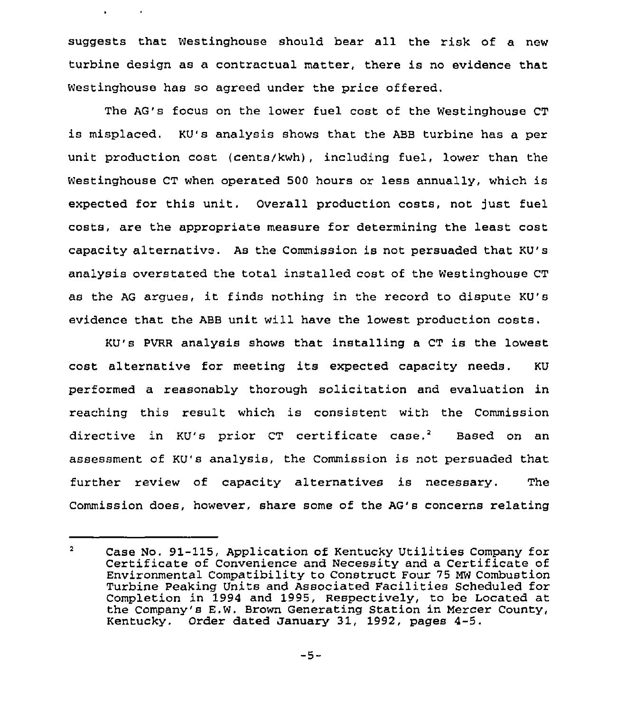suggests that Westinghouse should bear all the risk of a new turbine design as a contractual matter, there is no evidence that Westinghouse has so agreed under the price offered.

 $\mathbf{r}$ 

 $\sim$   $\epsilon$ 

The AG's focus on the lower fuel cost of the Westinghouse CT is misplaced. KU's analysis shows that the ABB turbine has a per unit production cost (cents/kwh), including fuel, lower than the Westinghouse CT when operated 500 hours or less annually, which is expected for this unit. Overall production costs, not just fuel costs, are the appropriate measure for determining the least cost capacity alternative. As the Commission is not persuaded that KU's analysis overstated the total installed cost of the Westinghouse CT as the AG argues, it finds nothing in the record to dispute KU's evidence that the ABB unit will have the lowest production costs.

KU's PVRR analysis shows that installing a CT is the lowest cost alternative for meeting its expected capacity needs, KU performed a reasonably thorough solicitation and evaluation in reaching this result which is consistent with the Commission directive in KU's prior CT certificate case.<sup>2</sup> Based on an assessment of KU's analysis, the Commission is not persuaded that further review of capacity alternatives is necessary. The Commission does, however, share some of the AG's concerns relating

 $\overline{a}$ Case No. 91-115, Application of Kentucky Utilities Company for Certificate of Convenience and Necessity and <sup>a</sup> Certificate of Environmental Compatibility to Construct Four 75 MW Combustion Turbine Peaking Units and Associated Facilities Scheduled for Completion in 1994 and 1995, Respectively, to be Located at the Company's E.W. Brown Generating Station in Mercer County, Kentucky. Order dated January 31, 1992, pages 4-5.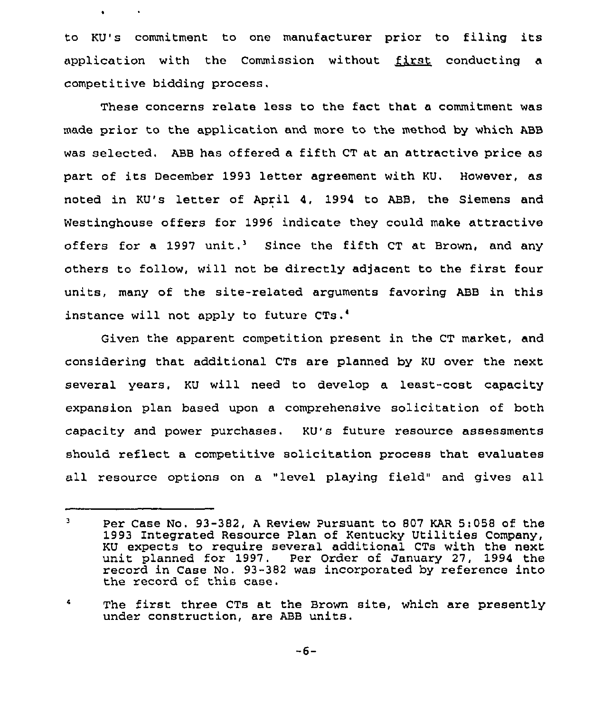to KU's commitment to one manufacturer prior to filing its application with the Commission without  $~$  first conducting a competitive bidding process.

These concerns relate less to the fact that a commitment was made prior to the application and more to the method by which ABB was selected, ABB has offered a fifth CT at an attractive price as part of its December 1993 letter agreement with KU. However, as noted in KU's letter of April 4, 1994 to ABB, the Siemens and Westinghouse offers for 1996 indicate they could make attractive offers for a 1997 unit.<sup>3</sup> Since the fifth CT at Brown, and any others to follow, will not be directly adjacent to the first four units, many of the site-related arguments favoring ABB in this instance will not apply to future CTs.<sup>4</sup>

Given the apparent competition present in the CT market, and considering that additional CTs are planned by KU ovex the next several years, KU will need to develop a least-coat capacity expansion plan based upon a comprehensive solicitation of both capacity and power purchases. KU's future resource assessments should reflect a competitive solicitation process that evaluates all resource options on a "level playing field" and gives all

 $\mathbf{3}$ Per Case No. 93-382, <sup>A</sup> Review Pursuant to 807 KAR 5:058 of. the 1993 Integrated Resource Plan of Kentucky Utilities Company, KU expects to require several additional CTs with the next unit planned for 1997. Per Order of January 27, 1994 the record in Case No. 93-382 was incorporated by reference into the record of this case.

 $\clubsuit$ The first three CTs at the Brown site, which are presently under construction, are ABB units.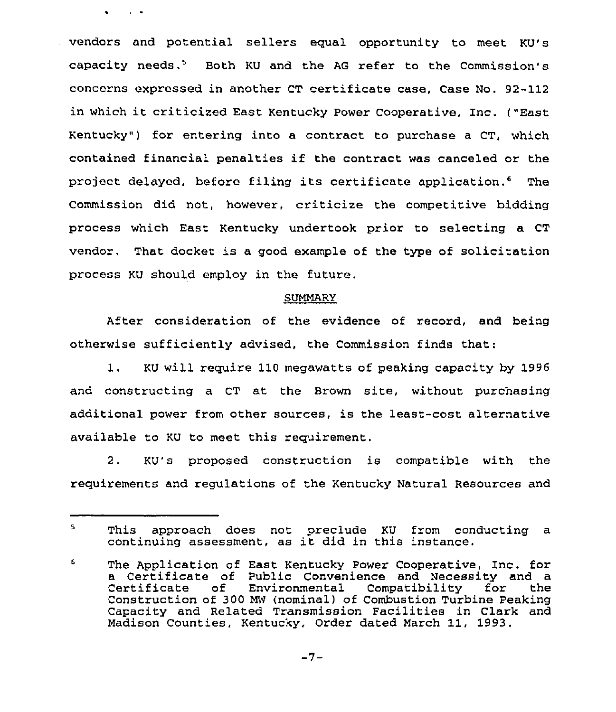vendors and potential sellers equal opportunity to meet KU's capacity needs.<sup>5</sup> Both KU and the AG refer to the Commission's concerns expressed in another CT certificate case, Case No. 92-112 in which it criticized East Kentucky Power Cooperative, Inc. ("East Kentucky") for entering into a contract to purchase a CT, which contained financial penalties if the contract was canceled or the project delayed, before filing its certificate application.<sup>6</sup> The Commission did not, however, criticize the competitive bidding process which East Kentucky undertook prior to selecting a CT vendor. That docket is a good example of the type of solicitation process KU should employ in the future.

 $\bullet$ 

 $\sim 100$   $\mu$ 

### SUMMARY

After consideration of the evidence of record, and being otherwise sufficiently advised, the Commission finds that:

1. KU will require 110 megawatts of peaking capacity by 1996 and constructing a CT at the Brown site, without purchasing additional power from other sources, is the least-cost alternative available to KU to meet this requirement.

2. KU's proposed construction is compatible with the requirements and regulations of the Kentucky Natural Resources and

 $5 -$ This approach does not preclude KU from conducting a continuing assessment, as it did in this instance.

<sup>6</sup> The Application of East Kentucky Power Cooperative, Inc. for a Certificate of Public Convenience and Necessity and a of Environmental Compatibility for Construction of 300 MW (nominal) of Combustion Turbine Peaking Capacity and Related Transmission Facilities in Clark and Madison Counties, Kentucky, Order dated March 11, 1993.